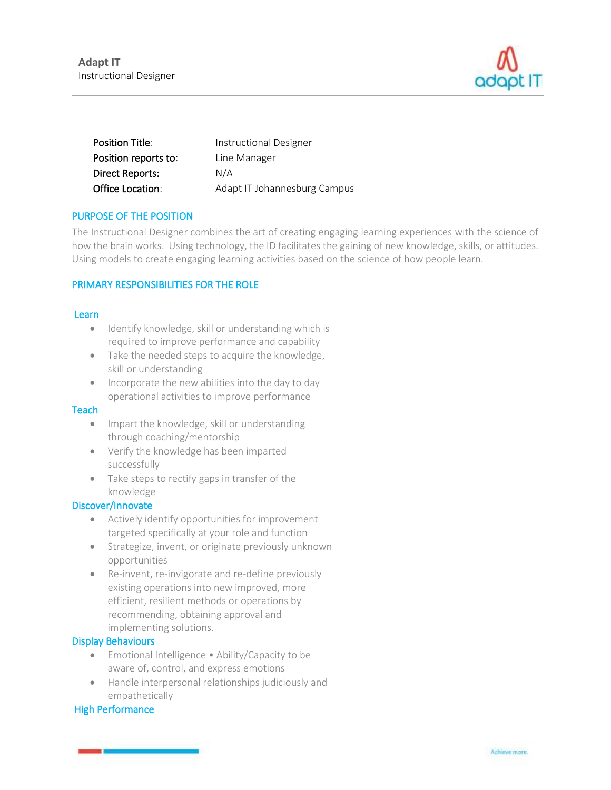

| <b>Position Title:</b> | <b>Instructional Designer</b> |
|------------------------|-------------------------------|
| Position reports to:   | Line Manager                  |
| <b>Direct Reports:</b> | N/A                           |
| Office Location:       | Adapt IT Johannesburg Campus  |

# PURPOSE OF THE POSITION

The Instructional Designer combines the art of creating engaging learning experiences with the science of how the brain works. Using technology, the ID facilitates the gaining of new knowledge, skills, or attitudes. Using models to create engaging learning activities based on the science of how people learn.

#### PRIMARY RESPONSIBILITIES FOR THE ROLE

#### Learn

- Identify knowledge, skill or understanding which is required to improve performance and capability
- Take the needed steps to acquire the knowledge, skill or understanding
- Incorporate the new abilities into the day to day operational activities to improve performance

#### **Teach**

- Impart the knowledge, skill or understanding through coaching/mentorship
- Verify the knowledge has been imparted successfully
- Take steps to rectify gaps in transfer of the knowledge

#### Discover/Innovate

- Actively identify opportunities for improvement targeted specifically at your role and function
- Strategize, invent, or originate previously unknown opportunities
- Re-invent, re-invigorate and re-define previously existing operations into new improved, more efficient, resilient methods or operations by recommending, obtaining approval and implementing solutions.

#### Display Behaviours

- Emotional Intelligence Ability/Capacity to be aware of, control, and express emotions
- Handle interpersonal relationships judiciously and empathetically

# High Performance

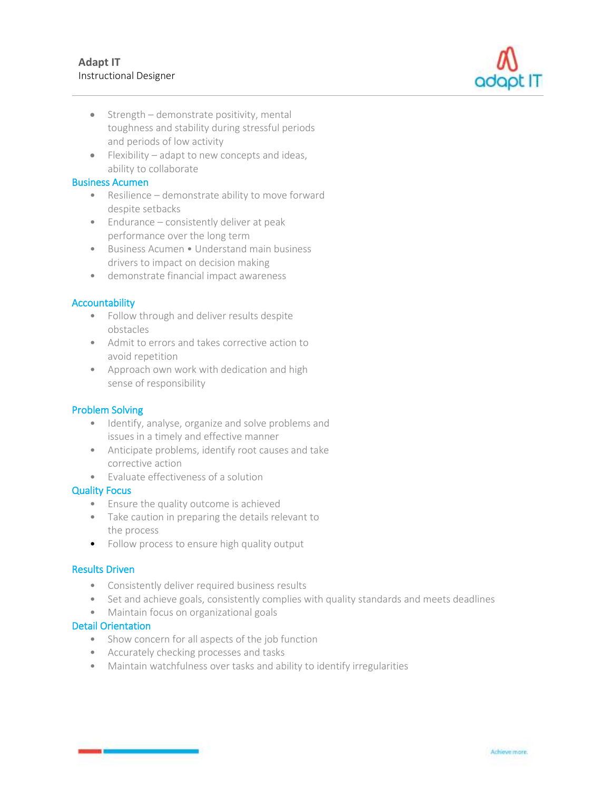

- Strength demonstrate positivity, mental toughness and stability during stressful periods and periods of low activity
- Flexibility adapt to new concepts and ideas, ability to collaborate

#### Business Acumen

- Resilience demonstrate ability to move forward despite setbacks
- Endurance consistently deliver at peak performance over the long term
- Business Acumen Understand main business drivers to impact on decision making
- demonstrate financial impact awareness

# **Accountability**

- Follow through and deliver results despite obstacles
- Admit to errors and takes corrective action to avoid repetition
- Approach own work with dedication and high sense of responsibility

# Problem Solving

- Identify, analyse, organize and solve problems and issues in a timely and effective manner
- Anticipate problems, identify root causes and take corrective action
- Evaluate effectiveness of a solution

# Quality Focus

- Ensure the quality outcome is achieved
- Take caution in preparing the details relevant to the process
- Follow process to ensure high quality output

# Results Driven

- Consistently deliver required business results
- Set and achieve goals, consistently complies with quality standards and meets deadlines
- Maintain focus on organizational goals

# Detail Orientation

- Show concern for all aspects of the job function
- Accurately checking processes and tasks
- Maintain watchfulness over tasks and ability to identify irregularities